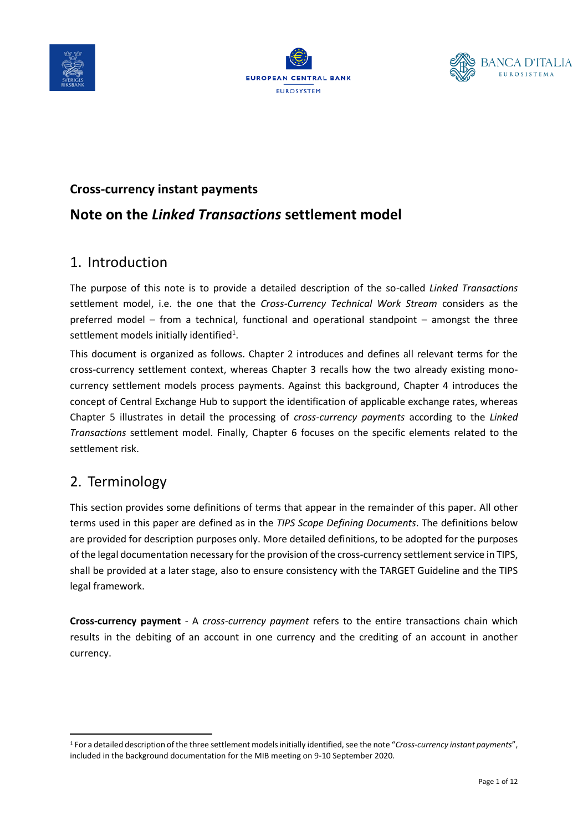





# **Cross-currency instant payments Note on the** *Linked Transactions* **settlement model**

### 1. Introduction

The purpose of this note is to provide a detailed description of the so-called *Linked Transactions* settlement model, i.e. the one that the *Cross-Currency Technical Work Stream* considers as the preferred model – from a technical, functional and operational standpoint – amongst the three settlement models initially identified<sup>1</sup>.

This document is organized as follows. Chapter 2 introduces and defines all relevant terms for the cross-currency settlement context, whereas Chapter 3 recalls how the two already existing monocurrency settlement models process payments. Against this background, Chapter 4 introduces the concept of Central Exchange Hub to support the identification of applicable exchange rates, whereas Chapter 5 illustrates in detail the processing of *cross-currency payments* according to the *Linked Transactions* settlement model. Finally, Chapter 6 focuses on the specific elements related to the settlement risk.

## 2. Terminology

This section provides some definitions of terms that appear in the remainder of this paper. All other terms used in this paper are defined as in the *TIPS Scope Defining Documents*. The definitions below are provided for description purposes only. More detailed definitions, to be adopted for the purposes of the legal documentation necessary for the provision of the cross-currency settlement service in TIPS, shall be provided at a later stage, also to ensure consistency with the TARGET Guideline and the TIPS legal framework.

**Cross-currency payment** - A *cross-currency payment* refers to the entire transactions chain which results in the debiting of an account in one currency and the crediting of an account in another currency.

<sup>1</sup> For a detailed description of the three settlement models initially identified, see the note "*Cross-currency instant payments*", included in the background documentation for the MIB meeting on 9-10 September 2020.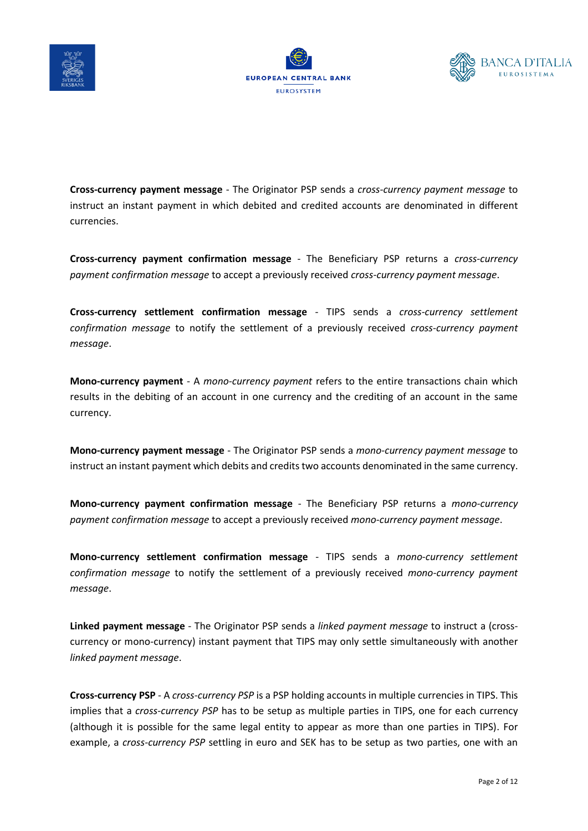





**Cross-currency payment message** - The Originator PSP sends a *cross-currency payment message* to instruct an instant payment in which debited and credited accounts are denominated in different currencies.

**Cross-currency payment confirmation message** - The Beneficiary PSP returns a *cross-currency payment confirmation message* to accept a previously received *cross-currency payment message*.

**Cross-currency settlement confirmation message** - TIPS sends a *cross-currency settlement confirmation message* to notify the settlement of a previously received *cross-currency payment message*.

**Mono-currency payment** - A *mono-currency payment* refers to the entire transactions chain which results in the debiting of an account in one currency and the crediting of an account in the same currency.

**Mono-currency payment message** - The Originator PSP sends a *mono-currency payment message* to instruct an instant payment which debits and credits two accounts denominated in the same currency.

**Mono-currency payment confirmation message** - The Beneficiary PSP returns a *mono-currency payment confirmation message* to accept a previously received *mono-currency payment message*.

**Mono-currency settlement confirmation message** - TIPS sends a *mono-currency settlement confirmation message* to notify the settlement of a previously received *mono-currency payment message*.

**Linked payment message** - The Originator PSP sends a *linked payment message* to instruct a (crosscurrency or mono-currency) instant payment that TIPS may only settle simultaneously with another *linked payment message*.

**Cross-currency PSP** - A *cross-currency PSP* is a PSP holding accounts in multiple currencies in TIPS. This implies that a *cross-currency PSP* has to be setup as multiple parties in TIPS, one for each currency (although it is possible for the same legal entity to appear as more than one parties in TIPS). For example, a *cross-currency PSP* settling in euro and SEK has to be setup as two parties, one with an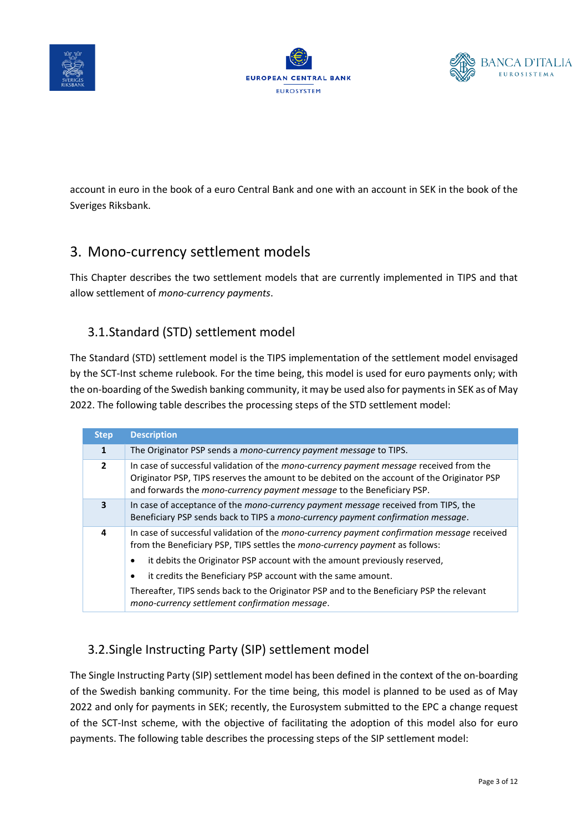





account in euro in the book of a euro Central Bank and one with an account in SEK in the book of the Sveriges Riksbank.

## 3. Mono-currency settlement models

This Chapter describes the two settlement models that are currently implemented in TIPS and that allow settlement of *mono-currency payments*.

#### 3.1.Standard (STD) settlement model

The Standard (STD) settlement model is the TIPS implementation of the settlement model envisaged by the SCT-Inst scheme rulebook. For the time being, this model is used for euro payments only; with the on-boarding of the Swedish banking community, it may be used also for payments in SEK as of May 2022. The following table describes the processing steps of the STD settlement model:

| <b>Step</b>             | <b>Description</b>                                                                                                                                                                                                                                                                                                                                                                                                                                                                |
|-------------------------|-----------------------------------------------------------------------------------------------------------------------------------------------------------------------------------------------------------------------------------------------------------------------------------------------------------------------------------------------------------------------------------------------------------------------------------------------------------------------------------|
| 1                       | The Originator PSP sends a mono-currency payment message to TIPS.                                                                                                                                                                                                                                                                                                                                                                                                                 |
| $\mathbf{2}$            | In case of successful validation of the mono-currency payment message received from the<br>Originator PSP, TIPS reserves the amount to be debited on the account of the Originator PSP<br>and forwards the mono-currency payment message to the Beneficiary PSP.                                                                                                                                                                                                                  |
| $\overline{\mathbf{3}}$ | In case of acceptance of the <i>mono-currency payment message</i> received from TIPS, the<br>Beneficiary PSP sends back to TIPS a mono-currency payment confirmation message.                                                                                                                                                                                                                                                                                                     |
| 4                       | In case of successful validation of the mono-currency payment confirmation message received<br>from the Beneficiary PSP, TIPS settles the mono-currency payment as follows:<br>it debits the Originator PSP account with the amount previously reserved,<br>٠<br>it credits the Beneficiary PSP account with the same amount.<br>٠<br>Thereafter, TIPS sends back to the Originator PSP and to the Beneficiary PSP the relevant<br>mono-currency settlement confirmation message. |

### 3.2.Single Instructing Party (SIP) settlement model

The Single Instructing Party (SIP) settlement model has been defined in the context of the on-boarding of the Swedish banking community. For the time being, this model is planned to be used as of May 2022 and only for payments in SEK; recently, the Eurosystem submitted to the EPC a change request of the SCT-Inst scheme, with the objective of facilitating the adoption of this model also for euro payments. The following table describes the processing steps of the SIP settlement model: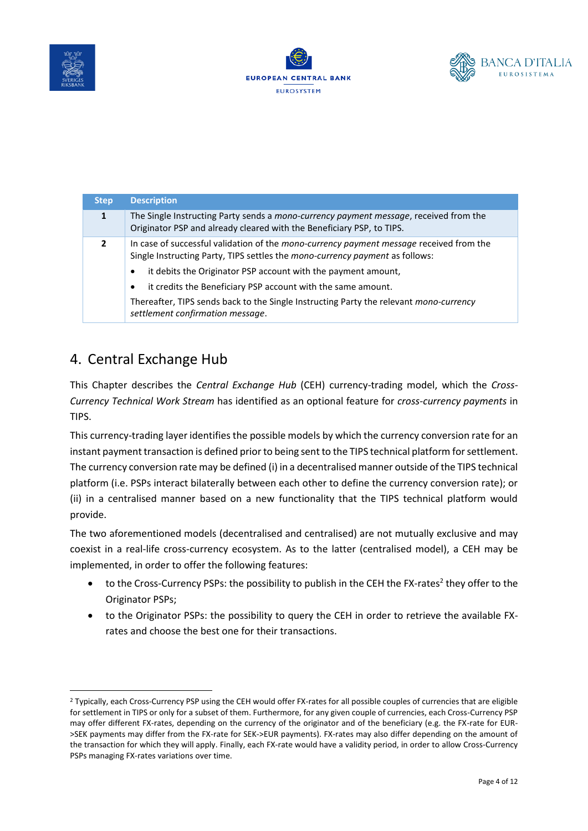





| <b>Step</b>  | <b>Description</b>                                                                                                                                                                                                                                                                                                                                                                                                                                                             |
|--------------|--------------------------------------------------------------------------------------------------------------------------------------------------------------------------------------------------------------------------------------------------------------------------------------------------------------------------------------------------------------------------------------------------------------------------------------------------------------------------------|
| 1            | The Single Instructing Party sends a mono-currency payment message, received from the<br>Originator PSP and already cleared with the Beneficiary PSP, to TIPS.                                                                                                                                                                                                                                                                                                                 |
| $\mathbf{2}$ | In case of successful validation of the <i>mono-currency payment message</i> received from the<br>Single Instructing Party, TIPS settles the <i>mono-currency payment</i> as follows:<br>it debits the Originator PSP account with the payment amount,<br>$\bullet$<br>it credits the Beneficiary PSP account with the same amount.<br>$\bullet$<br>Thereafter, TIPS sends back to the Single Instructing Party the relevant mono-currency<br>settlement confirmation message. |

### 4. Central Exchange Hub

This Chapter describes the *Central Exchange Hub* (CEH) currency-trading model, which the *Cross-Currency Technical Work Stream* has identified as an optional feature for *cross-currency payments* in TIPS.

This currency-trading layer identifies the possible models by which the currency conversion rate for an instant payment transaction is defined prior to being sent to the TIPS technical platform for settlement. The currency conversion rate may be defined (i) in a decentralised manner outside of the TIPS technical platform (i.e. PSPs interact bilaterally between each other to define the currency conversion rate); or (ii) in a centralised manner based on a new functionality that the TIPS technical platform would provide.

The two aforementioned models (decentralised and centralised) are not mutually exclusive and may coexist in a real-life cross-currency ecosystem. As to the latter (centralised model), a CEH may be implemented, in order to offer the following features:

- $\bullet$  to the Cross-Currency PSPs: the possibility to publish in the CEH the FX-rates<sup>2</sup> they offer to the Originator PSPs;
- to the Originator PSPs: the possibility to query the CEH in order to retrieve the available FXrates and choose the best one for their transactions.

<sup>&</sup>lt;sup>2</sup> Typically, each Cross-Currency PSP using the CEH would offer FX-rates for all possible couples of currencies that are eligible for settlement in TIPS or only for a subset of them. Furthermore, for any given couple of currencies, each Cross-Currency PSP may offer different FX-rates, depending on the currency of the originator and of the beneficiary (e.g. the FX-rate for EUR- >SEK payments may differ from the FX-rate for SEK->EUR payments). FX-rates may also differ depending on the amount of the transaction for which they will apply. Finally, each FX-rate would have a validity period, in order to allow Cross-Currency PSPs managing FX-rates variations over time.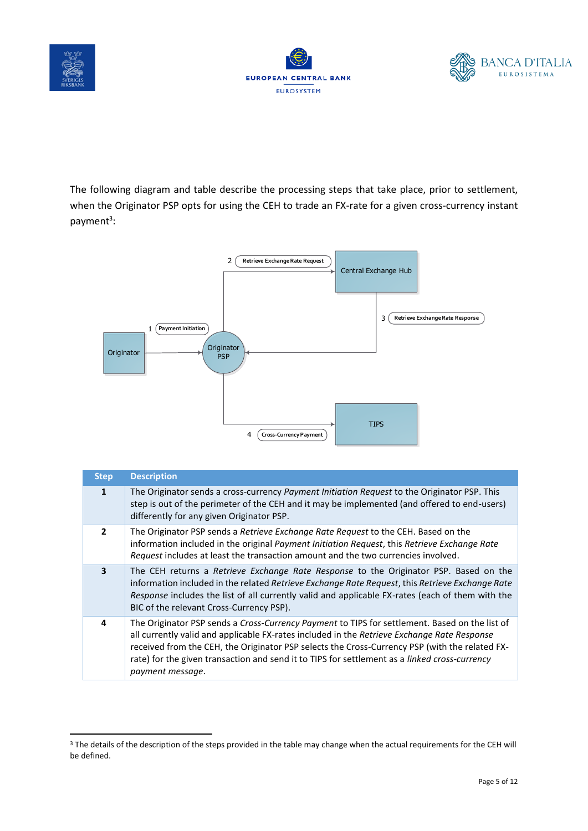





The following diagram and table describe the processing steps that take place, prior to settlement, when the Originator PSP opts for using the CEH to trade an FX-rate for a given cross-currency instant payment<sup>3</sup>:



| <b>Step</b>              | <b>Description</b>                                                                                                                                                                                                                                                                                                                                                                                                          |
|--------------------------|-----------------------------------------------------------------------------------------------------------------------------------------------------------------------------------------------------------------------------------------------------------------------------------------------------------------------------------------------------------------------------------------------------------------------------|
| 1                        | The Originator sends a cross-currency Payment Initiation Request to the Originator PSP. This<br>step is out of the perimeter of the CEH and it may be implemented (and offered to end-users)<br>differently for any given Originator PSP.                                                                                                                                                                                   |
| $\overline{\phantom{a}}$ | The Originator PSP sends a Retrieve Exchange Rate Request to the CEH. Based on the<br>information included in the original Payment Initiation Request, this Retrieve Exchange Rate<br>Request includes at least the transaction amount and the two currencies involved.                                                                                                                                                     |
| $\overline{\mathbf{3}}$  | The CEH returns a Retrieve Exchange Rate Response to the Originator PSP. Based on the<br>information included in the related Retrieve Exchange Rate Request, this Retrieve Exchange Rate<br>Response includes the list of all currently valid and applicable FX-rates (each of them with the<br>BIC of the relevant Cross-Currency PSP).                                                                                    |
| 4                        | The Originator PSP sends a Cross-Currency Payment to TIPS for settlement. Based on the list of<br>all currently valid and applicable FX-rates included in the Retrieve Exchange Rate Response<br>received from the CEH, the Originator PSP selects the Cross-Currency PSP (with the related FX-<br>rate) for the given transaction and send it to TIPS for settlement as a <i>linked cross-currency</i><br>payment message. |

<sup>&</sup>lt;sup>3</sup> The details of the description of the steps provided in the table may change when the actual requirements for the CEH will be defined.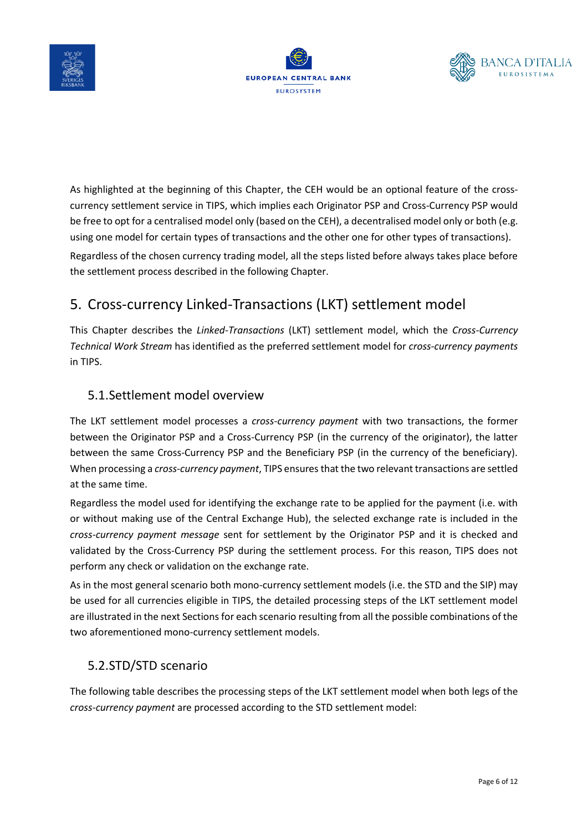





As highlighted at the beginning of this Chapter, the CEH would be an optional feature of the crosscurrency settlement service in TIPS, which implies each Originator PSP and Cross-Currency PSP would be free to opt for a centralised model only (based on the CEH), a decentralised model only or both (e.g. using one model for certain types of transactions and the other one for other types of transactions).

Regardless of the chosen currency trading model, all the steps listed before always takes place before the settlement process described in the following Chapter.

# 5. Cross-currency Linked-Transactions (LKT) settlement model

This Chapter describes the *Linked-Transactions* (LKT) settlement model, which the *Cross-Currency Technical Work Stream* has identified as the preferred settlement model for *cross-currency payments* in TIPS.

#### 5.1.Settlement model overview

The LKT settlement model processes a *cross-currency payment* with two transactions, the former between the Originator PSP and a Cross-Currency PSP (in the currency of the originator), the latter between the same Cross-Currency PSP and the Beneficiary PSP (in the currency of the beneficiary). When processing a *cross-currency payment*, TIPS ensures that the two relevant transactions are settled at the same time.

Regardless the model used for identifying the exchange rate to be applied for the payment (i.e. with or without making use of the Central Exchange Hub), the selected exchange rate is included in the *cross-currency payment message* sent for settlement by the Originator PSP and it is checked and validated by the Cross-Currency PSP during the settlement process. For this reason, TIPS does not perform any check or validation on the exchange rate.

As in the most general scenario both mono-currency settlement models (i.e. the STD and the SIP) may be used for all currencies eligible in TIPS, the detailed processing steps of the LKT settlement model are illustrated in the next Sections for each scenario resulting from all the possible combinations of the two aforementioned mono-currency settlement models.

#### 5.2.STD/STD scenario

The following table describes the processing steps of the LKT settlement model when both legs of the *cross-currency payment* are processed according to the STD settlement model: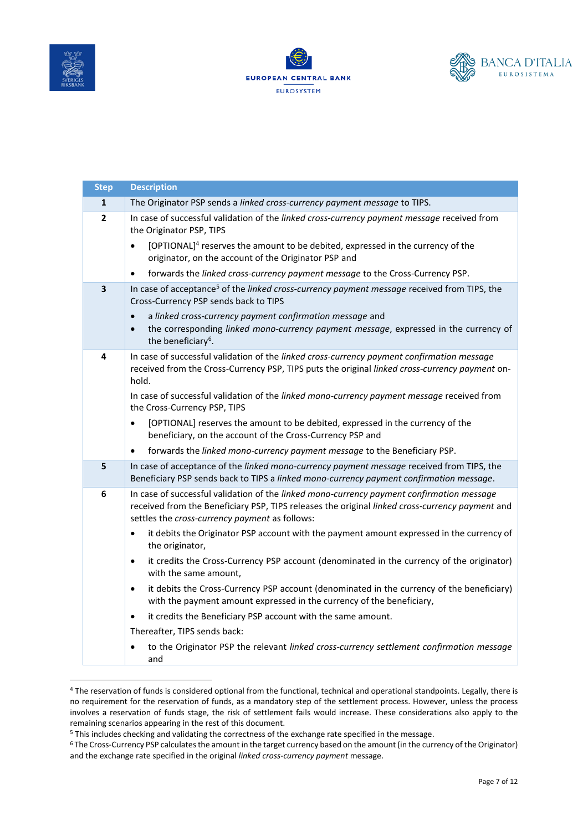





| <b>Step</b>  | <b>Description</b>                                                                                                                                                                                                                             |
|--------------|------------------------------------------------------------------------------------------------------------------------------------------------------------------------------------------------------------------------------------------------|
| $\mathbf{1}$ | The Originator PSP sends a linked cross-currency payment message to TIPS.                                                                                                                                                                      |
| $\mathbf{2}$ | In case of successful validation of the linked cross-currency payment message received from<br>the Originator PSP, TIPS                                                                                                                        |
|              | [OPTIONAL] <sup>4</sup> reserves the amount to be debited, expressed in the currency of the<br>originator, on the account of the Originator PSP and                                                                                            |
|              | forwards the linked cross-currency payment message to the Cross-Currency PSP.<br>$\bullet$                                                                                                                                                     |
| 3            | In case of acceptance <sup>5</sup> of the linked cross-currency payment message received from TIPS, the<br>Cross-Currency PSP sends back to TIPS                                                                                               |
|              | a linked cross-currency payment confirmation message and<br>$\bullet$<br>the corresponding linked mono-currency payment message, expressed in the currency of<br>$\bullet$                                                                     |
|              | the beneficiary <sup>6</sup> .                                                                                                                                                                                                                 |
| 4            | In case of successful validation of the linked cross-currency payment confirmation message<br>received from the Cross-Currency PSP, TIPS puts the original linked cross-currency payment on-<br>hold.                                          |
|              | In case of successful validation of the linked mono-currency payment message received from<br>the Cross-Currency PSP, TIPS                                                                                                                     |
|              | [OPTIONAL] reserves the amount to be debited, expressed in the currency of the<br>beneficiary, on the account of the Cross-Currency PSP and                                                                                                    |
|              | forwards the linked mono-currency payment message to the Beneficiary PSP.<br>$\bullet$                                                                                                                                                         |
| 5            | In case of acceptance of the linked mono-currency payment message received from TIPS, the<br>Beneficiary PSP sends back to TIPS a linked mono-currency payment confirmation message.                                                           |
| 6            | In case of successful validation of the linked mono-currency payment confirmation message<br>received from the Beneficiary PSP, TIPS releases the original linked cross-currency payment and<br>settles the cross-currency payment as follows: |
|              | it debits the Originator PSP account with the payment amount expressed in the currency of<br>$\bullet$<br>the originator,                                                                                                                      |
|              | it credits the Cross-Currency PSP account (denominated in the currency of the originator)<br>$\bullet$<br>with the same amount,                                                                                                                |
|              | it debits the Cross-Currency PSP account (denominated in the currency of the beneficiary)<br>$\bullet$<br>with the payment amount expressed in the currency of the beneficiary,                                                                |
|              | it credits the Beneficiary PSP account with the same amount.<br>٠                                                                                                                                                                              |
|              | Thereafter, TIPS sends back:                                                                                                                                                                                                                   |
|              | to the Originator PSP the relevant linked cross-currency settlement confirmation message<br>and                                                                                                                                                |

<sup>&</sup>lt;sup>4</sup> The reservation of funds is considered optional from the functional, technical and operational standpoints. Legally, there is no requirement for the reservation of funds, as a mandatory step of the settlement process. However, unless the process involves a reservation of funds stage, the risk of settlement fails would increase. These considerations also apply to the remaining scenarios appearing in the rest of this document.

<sup>5</sup> This includes checking and validating the correctness of the exchange rate specified in the message.

<sup>6</sup> The Cross-Currency PSP calculates the amount in the target currency based on the amount (in the currency of the Originator) and the exchange rate specified in the original *linked cross-currency payment* message.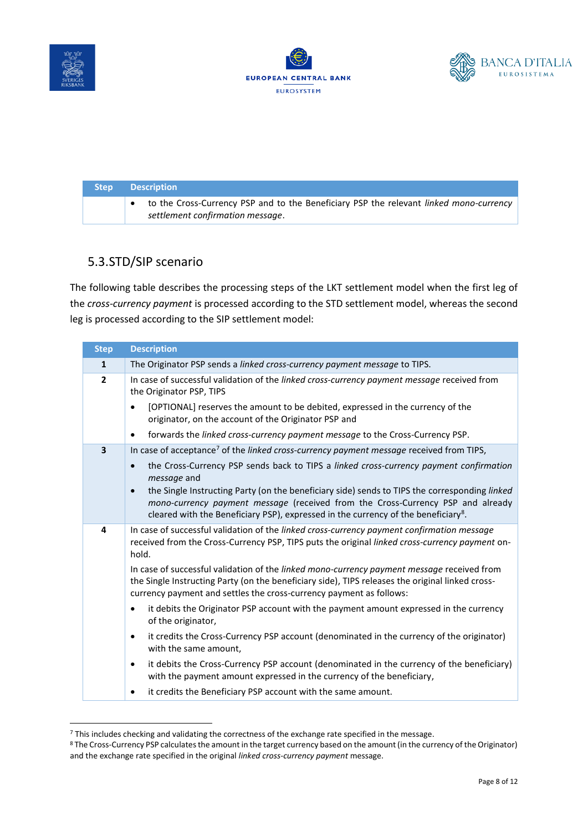





| Step / | <b>Description</b>                                                                                                         |
|--------|----------------------------------------------------------------------------------------------------------------------------|
|        | to the Cross-Currency PSP and to the Beneficiary PSP the relevant linked mono-currency<br>settlement confirmation message. |

#### 5.3.STD/SIP scenario

The following table describes the processing steps of the LKT settlement model when the first leg of the *cross-currency payment* is processed according to the STD settlement model, whereas the second leg is processed according to the SIP settlement model:

| <b>Step</b>             | <b>Description</b>                                                                                                                                                                                                                                                                              |
|-------------------------|-------------------------------------------------------------------------------------------------------------------------------------------------------------------------------------------------------------------------------------------------------------------------------------------------|
| $\mathbf{1}$            | The Originator PSP sends a linked cross-currency payment message to TIPS.                                                                                                                                                                                                                       |
| $\overline{2}$          | In case of successful validation of the linked cross-currency payment message received from<br>the Originator PSP, TIPS                                                                                                                                                                         |
|                         | [OPTIONAL] reserves the amount to be debited, expressed in the currency of the<br>originator, on the account of the Originator PSP and                                                                                                                                                          |
|                         | forwards the <i>linked cross-currency payment message</i> to the Cross-Currency PSP.<br>$\bullet$                                                                                                                                                                                               |
| $\overline{\mathbf{3}}$ | In case of acceptance <sup>7</sup> of the linked cross-currency payment message received from TIPS,                                                                                                                                                                                             |
|                         | the Cross-Currency PSP sends back to TIPS a linked cross-currency payment confirmation<br>message and                                                                                                                                                                                           |
|                         | the Single Instructing Party (on the beneficiary side) sends to TIPS the corresponding linked<br>$\bullet$<br>mono-currency payment message (received from the Cross-Currency PSP and already<br>cleared with the Beneficiary PSP), expressed in the currency of the beneficiary <sup>8</sup> . |
| 4                       | In case of successful validation of the linked cross-currency payment confirmation message<br>received from the Cross-Currency PSP, TIPS puts the original linked cross-currency payment on-<br>hold.                                                                                           |
|                         | In case of successful validation of the linked mono-currency payment message received from<br>the Single Instructing Party (on the beneficiary side), TIPS releases the original linked cross-<br>currency payment and settles the cross-currency payment as follows:                           |
|                         | it debits the Originator PSP account with the payment amount expressed in the currency<br>$\bullet$<br>of the originator,                                                                                                                                                                       |
|                         | it credits the Cross-Currency PSP account (denominated in the currency of the originator)<br>$\bullet$<br>with the same amount,                                                                                                                                                                 |
|                         | it debits the Cross-Currency PSP account (denominated in the currency of the beneficiary)<br>$\bullet$<br>with the payment amount expressed in the currency of the beneficiary,                                                                                                                 |
|                         | it credits the Beneficiary PSP account with the same amount.                                                                                                                                                                                                                                    |

<sup>7</sup> This includes checking and validating the correctness of the exchange rate specified in the message.

<sup>8</sup> The Cross-Currency PSP calculates the amount in the target currency based on the amount (in the currency of the Originator) and the exchange rate specified in the original *linked cross-currency payment* message.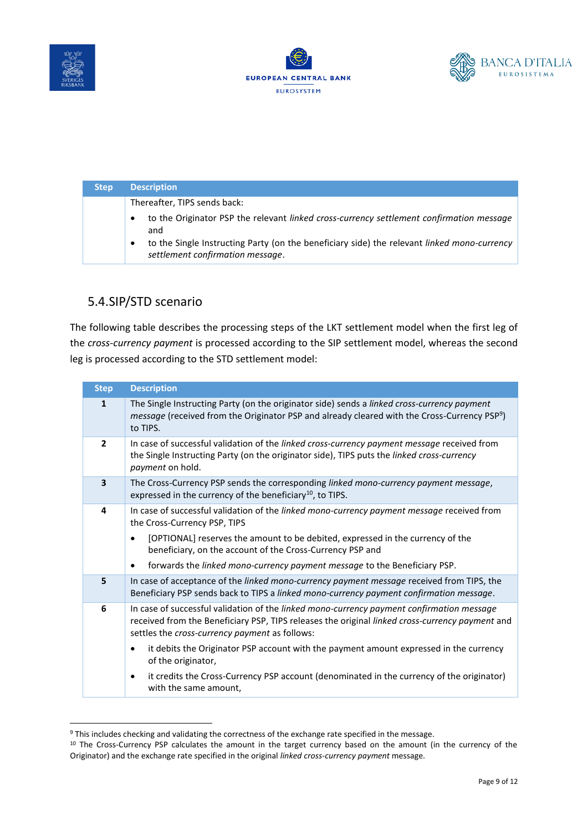





| <b>Step</b> | <b>Description</b>                                                                                                              |
|-------------|---------------------------------------------------------------------------------------------------------------------------------|
|             | Thereafter, TIPS sends back:                                                                                                    |
|             | to the Originator PSP the relevant linked cross-currency settlement confirmation message<br>$\bullet$<br>and                    |
|             | to the Single Instructing Party (on the beneficiary side) the relevant linked mono-currency<br>settlement confirmation message. |

#### 5.4.SIP/STD scenario

The following table describes the processing steps of the LKT settlement model when the first leg of the *cross-currency payment* is processed according to the SIP settlement model, whereas the second leg is processed according to the STD settlement model:

| <b>Step</b>             | <b>Description</b>                                                                                                                                                                                                                                    |
|-------------------------|-------------------------------------------------------------------------------------------------------------------------------------------------------------------------------------------------------------------------------------------------------|
| $\mathbf{1}$            | The Single Instructing Party (on the originator side) sends a linked cross-currency payment<br><i>message</i> (received from the Originator PSP and already cleared with the Cross-Currency PSP <sup>9</sup> )<br>to TIPS.                            |
| $\overline{2}$          | In case of successful validation of the linked cross-currency payment message received from<br>the Single Instructing Party (on the originator side), TIPS puts the linked cross-currency<br>payment on hold.                                         |
| $\overline{\mathbf{3}}$ | The Cross-Currency PSP sends the corresponding linked mono-currency payment message,<br>expressed in the currency of the beneficiary <sup>10</sup> , to TIPS.                                                                                         |
| 4                       | In case of successful validation of the linked mono-currency payment message received from<br>the Cross-Currency PSP, TIPS                                                                                                                            |
|                         | [OPTIONAL] reserves the amount to be debited, expressed in the currency of the<br>beneficiary, on the account of the Cross-Currency PSP and                                                                                                           |
|                         | forwards the <i>linked mono-currency payment message</i> to the Beneficiary PSP.                                                                                                                                                                      |
| 5                       | In case of acceptance of the linked mono-currency payment message received from TIPS, the<br>Beneficiary PSP sends back to TIPS a linked mono-currency payment confirmation message.                                                                  |
| 6                       | In case of successful validation of the linked mono-currency payment confirmation message<br>received from the Beneficiary PSP, TIPS releases the original linked cross-currency payment and<br>settles the <i>cross-currency payment</i> as follows: |
|                         | it debits the Originator PSP account with the payment amount expressed in the currency<br>of the originator,                                                                                                                                          |
|                         | it credits the Cross-Currency PSP account (denominated in the currency of the originator)<br>$\bullet$<br>with the same amount,                                                                                                                       |

<sup>9</sup> This includes checking and validating the correctness of the exchange rate specified in the message.

<sup>&</sup>lt;sup>10</sup> The Cross-Currency PSP calculates the amount in the target currency based on the amount (in the currency of the Originator) and the exchange rate specified in the original *linked cross-currency payment* message.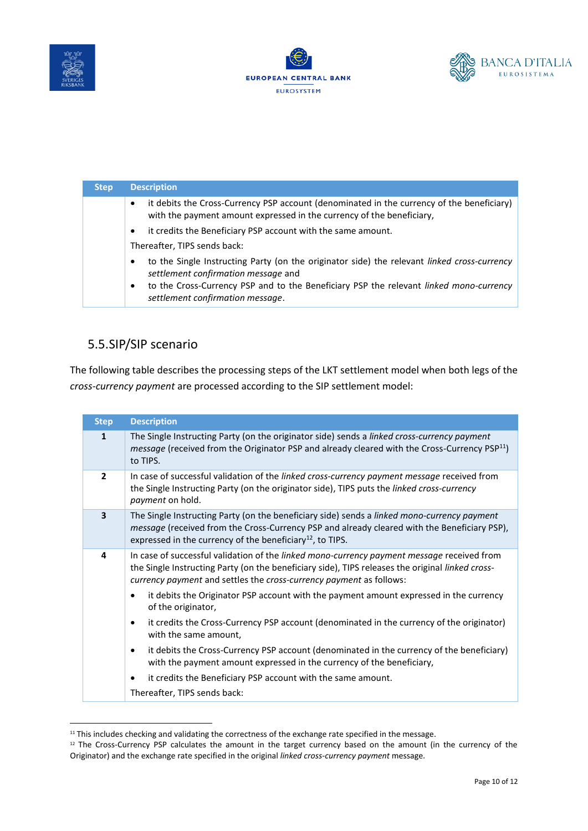





| <b>Step</b> | <b>Description</b>                                                                                                                                                              |
|-------------|---------------------------------------------------------------------------------------------------------------------------------------------------------------------------------|
|             | it debits the Cross-Currency PSP account (denominated in the currency of the beneficiary)<br>$\bullet$<br>with the payment amount expressed in the currency of the beneficiary, |
|             | it credits the Beneficiary PSP account with the same amount.<br>$\bullet$                                                                                                       |
|             | Thereafter, TIPS sends back:                                                                                                                                                    |
|             | to the Single Instructing Party (on the originator side) the relevant <i>linked cross-currency</i><br>٠<br>settlement confirmation message and                                  |
|             | to the Cross-Currency PSP and to the Beneficiary PSP the relevant linked mono-currency<br>$\bullet$<br>settlement confirmation message.                                         |

#### 5.5.SIP/SIP scenario

The following table describes the processing steps of the LKT settlement model when both legs of the *cross-currency payment* are processed according to the SIP settlement model:

| <b>Step</b>              | <b>Description</b>                                                                                                                                                                                                                                                          |
|--------------------------|-----------------------------------------------------------------------------------------------------------------------------------------------------------------------------------------------------------------------------------------------------------------------------|
| 1                        | The Single Instructing Party (on the originator side) sends a linked cross-currency payment<br><i>message</i> (received from the Originator PSP and already cleared with the Cross-Currency PSP <sup>11</sup> )<br>to TIPS.                                                 |
| $\overline{\phantom{a}}$ | In case of successful validation of the linked cross-currency payment message received from<br>the Single Instructing Party (on the originator side), TIPS puts the linked cross-currency<br><i>payment</i> on hold.                                                        |
| $\overline{\mathbf{3}}$  | The Single Instructing Party (on the beneficiary side) sends a <i>linked mono-currency payment</i><br>message (received from the Cross-Currency PSP and already cleared with the Beneficiary PSP),<br>expressed in the currency of the beneficiary <sup>12</sup> , to TIPS. |
| 4                        | In case of successful validation of the linked mono-currency payment message received from<br>the Single Instructing Party (on the beneficiary side), TIPS releases the original linked cross-<br>currency payment and settles the cross-currency payment as follows:       |
|                          | it debits the Originator PSP account with the payment amount expressed in the currency<br>of the originator,                                                                                                                                                                |
|                          | it credits the Cross-Currency PSP account (denominated in the currency of the originator)<br>with the same amount,                                                                                                                                                          |
|                          | it debits the Cross-Currency PSP account (denominated in the currency of the beneficiary)<br>with the payment amount expressed in the currency of the beneficiary,                                                                                                          |
|                          | it credits the Beneficiary PSP account with the same amount.                                                                                                                                                                                                                |
|                          | Thereafter, TIPS sends back:                                                                                                                                                                                                                                                |

<sup>&</sup>lt;sup>11</sup> This includes checking and validating the correctness of the exchange rate specified in the message.

<sup>&</sup>lt;sup>12</sup> The Cross-Currency PSP calculates the amount in the target currency based on the amount (in the currency of the Originator) and the exchange rate specified in the original *linked cross-currency payment* message.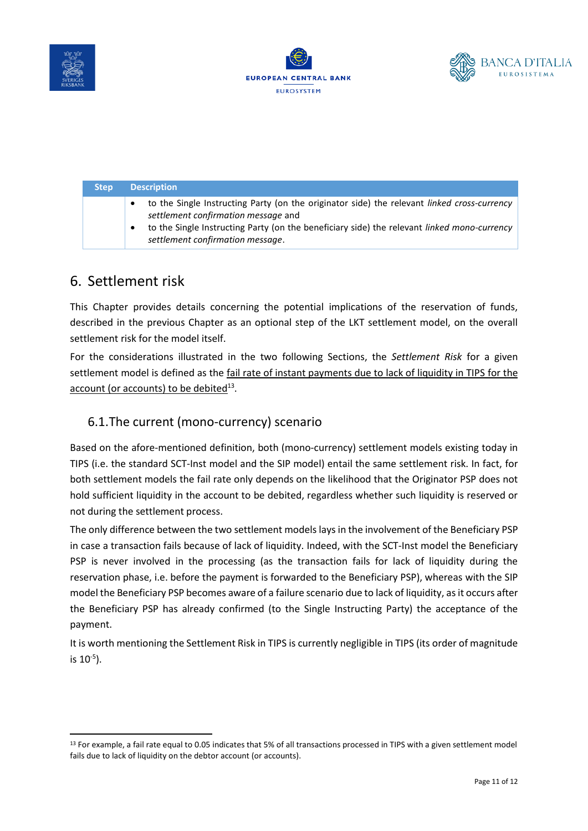





| Step. | <b>Description</b>                                                                                                                                                                                                                                                                             |
|-------|------------------------------------------------------------------------------------------------------------------------------------------------------------------------------------------------------------------------------------------------------------------------------------------------|
|       | to the Single Instructing Party (on the originator side) the relevant linked cross-currency<br>$\bullet$<br>settlement confirmation message and<br>to the Single Instructing Party (on the beneficiary side) the relevant <i>linked mono-currency</i><br>٠<br>settlement confirmation message. |

## 6. Settlement risk

This Chapter provides details concerning the potential implications of the reservation of funds, described in the previous Chapter as an optional step of the LKT settlement model, on the overall settlement risk for the model itself.

For the considerations illustrated in the two following Sections, the *Settlement Risk* for a given settlement model is defined as the fail rate of instant payments due to lack of liquidity in TIPS for the account (or accounts) to be debited<sup>13</sup>.

#### 6.1.The current (mono-currency) scenario

Based on the afore-mentioned definition, both (mono-currency) settlement models existing today in TIPS (i.e. the standard SCT-Inst model and the SIP model) entail the same settlement risk. In fact, for both settlement models the fail rate only depends on the likelihood that the Originator PSP does not hold sufficient liquidity in the account to be debited, regardless whether such liquidity is reserved or not during the settlement process.

The only difference between the two settlement models lays in the involvement of the Beneficiary PSP in case a transaction fails because of lack of liquidity. Indeed, with the SCT-Inst model the Beneficiary PSP is never involved in the processing (as the transaction fails for lack of liquidity during the reservation phase, i.e. before the payment is forwarded to the Beneficiary PSP), whereas with the SIP model the Beneficiary PSP becomes aware of a failure scenario due to lack of liquidity, as it occurs after the Beneficiary PSP has already confirmed (to the Single Instructing Party) the acceptance of the payment.

It is worth mentioning the Settlement Risk in TIPS is currently negligible in TIPS (its order of magnitude is 10<sup>-5</sup>).

<sup>&</sup>lt;sup>13</sup> For example, a fail rate equal to 0.05 indicates that 5% of all transactions processed in TIPS with a given settlement model fails due to lack of liquidity on the debtor account (or accounts).